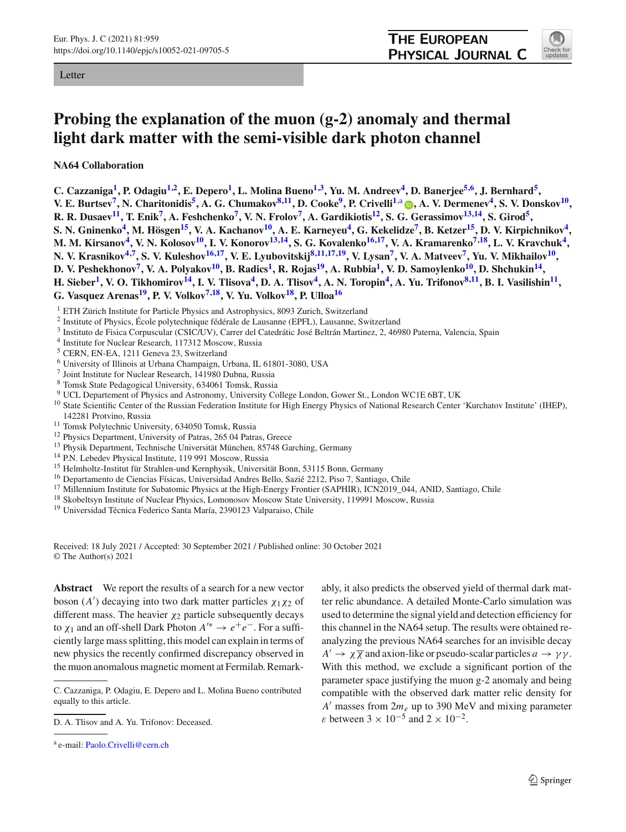Letter

<span id="page-0-2"></span>

## **Probing the explanation of the muon (g-2) anomaly and thermal light dark matter with the semi-visible dark photon channel**

**NA64 Collaboration**

**C. Cazzaniga[1,](#page-0-0) P. Odagi[u1,2,](#page-0-0) E. Deper[o1,](#page-0-0) L. Molina Buen[o1](#page-0-0)[,3,](#page-0-1) Yu. M. Andree[v4,](#page-0-2) D. Banerje[e5](#page-0-3)[,6,](#page-0-4) J. Bernhar[d5,](#page-0-3)** V. E. Burtsev<sup>7</sup>[,](http://orcid.org/0000-0001-5430-9394) N. Charitonidis<sup>5</sup>, A. G. Chumakov<sup>8,11</sup>, D. Cooke<sup>9</sup>, P. Crivelli<sup>1,a</sup> (D, A. V. Dermenev<sup>4</sup>, S. V. Donskov<sup>10</sup>, **R. R. Dusaev[11,](#page-0-7) T. Eni[k7,](#page-0-5) A. Feshchenk[o7,](#page-0-5) V. N. Frolo[v7,](#page-0-5) A. Gardikioti[s12,](#page-0-10) S. G. Gerassimo[v13](#page-0-11)[,14,](#page-0-12) S. Giro[d5,](#page-0-3) S. N. Gninenko[4,](#page-0-2) M. Hösge[n15,](#page-0-13) V. A. Kachano[v10,](#page-0-9) A. E. Karneye[u4,](#page-0-2) G. Kekelidz[e7,](#page-0-5) B. Ketze[r15,](#page-0-13) D. V. Kirpichniko[v4,](#page-0-2) M. M. Kirsanov[4,](#page-0-2) V. N. Koloso[v10,](#page-0-9) I. V. Konoro[v13](#page-0-11)[,14,](#page-0-12) S. G. Kovalenk[o16](#page-0-14)[,17,](#page-0-15) V. A. Kramarenk[o7](#page-0-5)[,18,](#page-0-16) L. V. Kravchu[k4,](#page-0-2)** N. V. Krasnikov<sup>[4](#page-0-2),7</sup>, S. V. Kuleshov<sup>16,17</sup>, V. E. Lyubovitskij<sup>8,11,[17,](#page-0-15)19</sup>, V. Lysan<sup>7</sup>, V. A. Matveev<sup>7</sup>, Yu. V. Mikhailov<sup>10</sup>, **D. V. Peshekhonov[7,](#page-0-5) V. A. Polyako[v10,](#page-0-9) B. Radic[s1,](#page-0-0) R. Roja[s19,](#page-0-17) A. Rubbi[a1,](#page-0-0) V. D. Samoylenk[o10,](#page-0-9) D. Shchuki[n14,](#page-0-12) H.** Sieber<sup>1</sup>, V. O. Tikhomirov<sup>14</sup>, I. V. Tlisova<sup>4</sup>, D. A. Tlisov<sup>4</sup>, A. N. Toropin<sup>4</sup>, A. Yu. Trifonov<sup>8,11</sup>, B. I. Vasilishin<sup>11</sup>, **G. Vasquez Arenas[19,](#page-0-17) P. V. Volko[v7](#page-0-5)[,18,](#page-0-16) V. Yu. Volko[v18,](#page-0-16) P. Ullo[a16](#page-0-14)**

<sup>1</sup> ETH Zürich Institute for Particle Physics and Astrophysics, 8093 Zurich, Switzerland

- <sup>2</sup> Institute of Physics, École polytechnique fédérale de Lausanne (EPFL), Lausanne, Switzerland
- <span id="page-0-4"></span><span id="page-0-3"></span><sup>3</sup> Instituto de Fisica Corpuscular (CSIC/UV), Carrer del Catedrátic José Beltrán Martinez, 2, 46980 Paterna, Valencia, Spain
- <sup>4</sup> Institute for Nuclear Research, 117312 Moscow, Russia
- <sup>5</sup> CERN, EN-EA, 1211 Geneva 23, Switzerland
- <span id="page-0-6"></span><sup>6</sup> University of Illinois at Urbana Champaign, Urbana, IL 61801-3080, USA
- <sup>7</sup> Joint Institute for Nuclear Research, 141980 Dubna, Russia
- <span id="page-0-7"></span>
- <sup>8</sup> Tomsk State Pedagogical University, 634061 Tomsk, Russia
- <sup>10</sup> State Scientific Center of the Russian Federation Institute for High Energy Physics of National Research Center 'Kurchatov Institute' (IHEP),
- 
- 
- 
- 
- 142281 Protvino, Russia<br>
<sup>11</sup> Tomsk Polytechnic University, 634050 Tomsk, Russia<br>
<sup>12</sup> Physics Department, University of Patras, 265 04 Patras, Greece<br>
<sup>13</sup> Physik Department, Technische Universität München, 85748 Garching
- 
- <sup>16</sup> Departamento de Ciencias Físicas, Universidad Andres Bello, Sazié 2212, Piso 7, Santiago, Chile<br><sup>17</sup> Millennium Institute for Subatomic Physics at the High-Energy Frontier (SAPHIR), ICN2019\_044, ANID, Santiago, Chile<br>
- 
- 

Received: 18 July 2021 / Accepted: 30 September 2021 / Published online: 30 October 2021 © The Author(s) 2021

**Abstract** We report the results of a search for a new vector boson  $(A')$  decaying into two dark matter particles  $\chi_1 \chi_2$  of different mass. The heavier  $\chi_2$  particle subsequently decays to  $\chi_1$  and an off-shell Dark Photon  $A'^* \to e^+e^-$ . For a sufficiently large mass splitting, this model can explain in terms of new physics the recently confirmed discrepancy observed in the muon anomalous magnetic moment at Fermilab. Remark<span id="page-0-17"></span><span id="page-0-16"></span><span id="page-0-15"></span><span id="page-0-14"></span><span id="page-0-13"></span><span id="page-0-12"></span><span id="page-0-11"></span><span id="page-0-10"></span><span id="page-0-9"></span><span id="page-0-8"></span><span id="page-0-5"></span><span id="page-0-1"></span><span id="page-0-0"></span>ably, it also predicts the observed yield of thermal dark matter relic abundance. A detailed Monte-Carlo simulation was used to determine the signal yield and detection efficiency for this channel in the NA64 setup. The results were obtained reanalyzing the previous NA64 searches for an invisible decay  $A' \to \chi \overline{\chi}$  and axion-like or pseudo-scalar particles  $a \to \gamma \gamma$ . With this method, we exclude a significant portion of the parameter space justifying the muon g-2 anomaly and being compatible with the observed dark matter relic density for *A*- masses from 2*me* up to 390 MeV and mixing parameter  $\varepsilon$  between 3 × 10<sup>-5</sup> and 2 × 10<sup>-2</sup>.

C. Cazzaniga, P. Odagiu, E. Depero and L. Molina Bueno contributed equally to this article.

D. A. Tlisov and A. Yu. Trifonov: Deceased.

<sup>a</sup> e-mail: [Paolo.Crivelli@cern.ch](mailto:Paolo.Crivelli@cern.ch)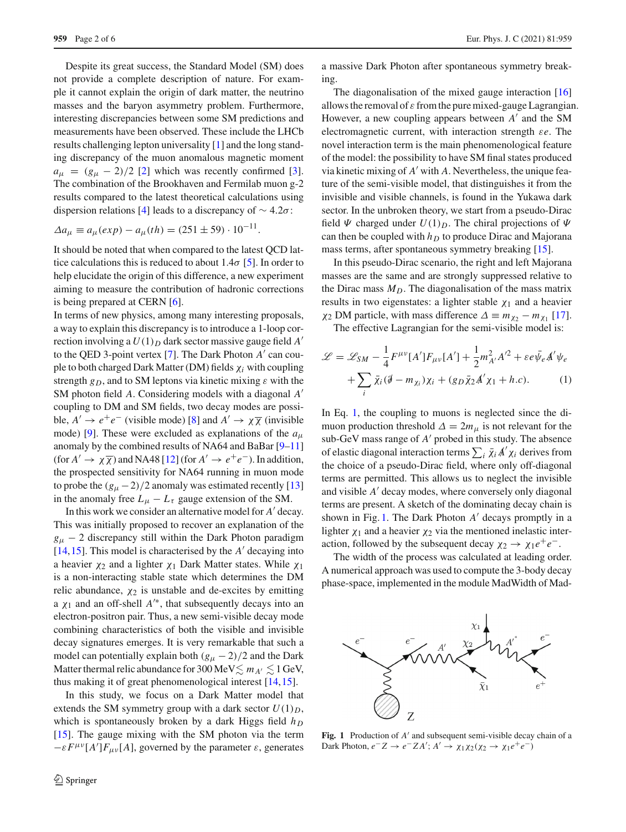Despite its great success, the Standard Model (SM) does not provide a complete description of nature. For example it cannot explain the origin of dark matter, the neutrino masses and the baryon asymmetry problem. Furthermore, interesting discrepancies between some SM predictions and measurements have been observed. These include the LHCb results challenging lepton universality [\[1](#page-5-0)] and the long standing discrepancy of the muon anomalous magnetic moment  $a_{\mu} = (g_{\mu} - 2)/2$  [\[2\]](#page-5-1) which was recently confirmed [\[3](#page-5-2)]. The combination of the Brookhaven and Fermilab muon g-2 results compared to the latest theoretical calculations using dispersion relations [\[4\]](#page-5-3) leads to a discrepancy of  $\sim 4.2\sigma$ :

$$
\Delta a_{\mu} \equiv a_{\mu}(exp) - a_{\mu}(th) = (251 \pm 59) \cdot 10^{-11}.
$$

It should be noted that when compared to the latest QCD lattice calculations this is reduced to about 1.4 $\sigma$  [\[5\]](#page-5-4). In order to help elucidate the origin of this difference, a new experiment aiming to measure the contribution of hadronic corrections is being prepared at CERN [\[6](#page-5-5)].

In terms of new physics, among many interesting proposals, a way to explain this discrepancy is to introduce a 1-loop correction involving a  $U(1)_D$  dark sector massive gauge field  $A'$ to the QED 3-point vertex [\[7\]](#page-5-6). The Dark Photon *A'* can couple to both charged Dark Matter (DM) fields χ*i* with coupling strength  $g_D$ , and to SM leptons via kinetic mixing  $\varepsilon$  with the SM photon field *A*. Considering models with a diagonal *A* coupling to DM and SM fields, two decay modes are possible,  $A' \rightarrow e^+e^-$  (visible mode) [\[8](#page-5-7)] and  $A' \rightarrow \chi \overline{\chi}$  (invisible mode) [\[9](#page-5-8)]. These were excluded as explanations of the *a*<sup>μ</sup> anomaly by the combined results of NA64 and BaBar [\[9](#page-5-8)[–11\]](#page-5-9) (for  $A' \to \chi \overline{\chi}$ ) and NA48 [\[12](#page-5-10)] (for  $A' \to e^+e^-$ ). In addition, the prospected sensitivity for NA64 running in muon mode to probe the  $(g_\mu - 2)/2$  anomaly was estimated recently [\[13\]](#page-5-11) in the anomaly free  $L_{\mu} - L_{\tau}$  gauge extension of the SM.

In this work we consider an alternative model for *A*' decay. This was initially proposed to recover an explanation of the  $g_{\mu}$  – 2 discrepancy still within the Dark Photon paradigm  $[14, 15]$  $[14, 15]$  $[14, 15]$ . This model is characterised by the  $A'$  decaying into a heavier  $\chi_2$  and a lighter  $\chi_1$  Dark Matter states. While  $\chi_1$ is a non-interacting stable state which determines the DM relic abundance,  $\chi_2$  is unstable and de-excites by emitting a  $\chi_1$  and an off-shell  $A^{\prime*}$ , that subsequently decays into an electron-positron pair. Thus, a new semi-visible decay mode combining characteristics of both the visible and invisible decay signatures emerges. It is very remarkable that such a model can potentially explain both  $(g_\mu - 2)/2$  and the Dark Matter thermal relic abundance for 300 MeV $\lesssim m_{A^\prime} \lesssim 1$  GeV, thus making it of great phenomenological interest [\[14](#page-5-12)[,15](#page-5-13)].

In this study, we focus on a Dark Matter model that extends the SM symmetry group with a dark sector  $U(1)_D$ , which is spontaneously broken by a dark Higgs field  $h_D$ [\[15](#page-5-13)]. The gauge mixing with the SM photon via the term  $-\varepsilon F^{\mu\nu}[A']F_{\mu\nu}[A]$ , governed by the parameter  $\varepsilon$ , generates

a massive Dark Photon after spontaneous symmetry breaking.

The diagonalisation of the mixed gauge interaction [\[16\]](#page-5-14) allows the removal of  $\varepsilon$  from the pure mixed-gauge Lagrangian. However, a new coupling appears between A' and the SM electromagnetic current, with interaction strength ε*e*. The novel interaction term is the main phenomenological feature of the model: the possibility to have SM final states produced via kinetic mixing of *A'* with *A*. Nevertheless, the unique feature of the semi-visible model, that distinguishes it from the invisible and visible channels, is found in the Yukawa dark sector. In the unbroken theory, we start from a pseudo-Dirac field  $\Psi$  charged under  $U(1)_D$ . The chiral projections of  $\Psi$ can then be coupled with  $h_D$  to produce Dirac and Majorana mass terms, after spontaneous symmetry breaking [\[15](#page-5-13)].

In this pseudo-Dirac scenario, the right and left Majorana masses are the same and are strongly suppressed relative to the Dirac mass  $M_D$ . The diagonalisation of the mass matrix results in two eigenstates: a lighter stable  $\chi_1$  and a heavier  $\chi_2$  DM particle, with mass difference  $\Delta \equiv m_{\chi_2} - m_{\chi_1}$  [\[17](#page-5-15)].

The effective Lagrangian for the semi-visible model is:

<span id="page-1-0"></span>
$$
\mathcal{L} = \mathcal{L}_{SM} - \frac{1}{4} F^{\mu\nu} [A'] F_{\mu\nu} [A'] + \frac{1}{2} m_{A'}^2 A'^2 + \varepsilon e \bar{\psi}_e A' \psi_e
$$

$$
+ \sum_i \bar{\chi}_i (\partial - m_{\chi_i}) \chi_i + (g_D \bar{\chi}_2 A' \chi_1 + h.c).
$$
(1)

In Eq. [1,](#page-1-0) the coupling to muons is neglected since the dimuon production threshold  $\Delta = 2m_{\mu}$  is not relevant for the sub-GeV mass range of  $A'$  probed in this study. The absence of elastic diagonal interaction terms  $\sum_i \bar{\chi}_i A' \chi_i$  derives from the choice of a pseudo-Dirac field, where only off-diagonal terms are permitted. This allows us to neglect the invisible and visible *A'* decay modes, where conversely only diagonal terms are present. A sketch of the dominating decay chain is shown in Fig. [1.](#page-1-1) The Dark Photon  $A'$  decays promptly in a lighter  $\chi_1$  and a heavier  $\chi_2$  via the mentioned inelastic interaction, followed by the subsequent decay  $\chi_2 \to \chi_1 e^+ e^-$ .

The width of the process was calculated at leading order. A numerical approach was used to compute the 3-body decay phase-space, implemented in the module MadWidth of Mad-



<span id="page-1-1"></span>**Fig. 1** Production of A' and subsequent semi-visible decay chain of a Dark Photon,  $e^- Z \to e^- Z A'; A' \to \chi_1 \chi_2 (\chi_2 \to \chi_1 e^+ e^-)$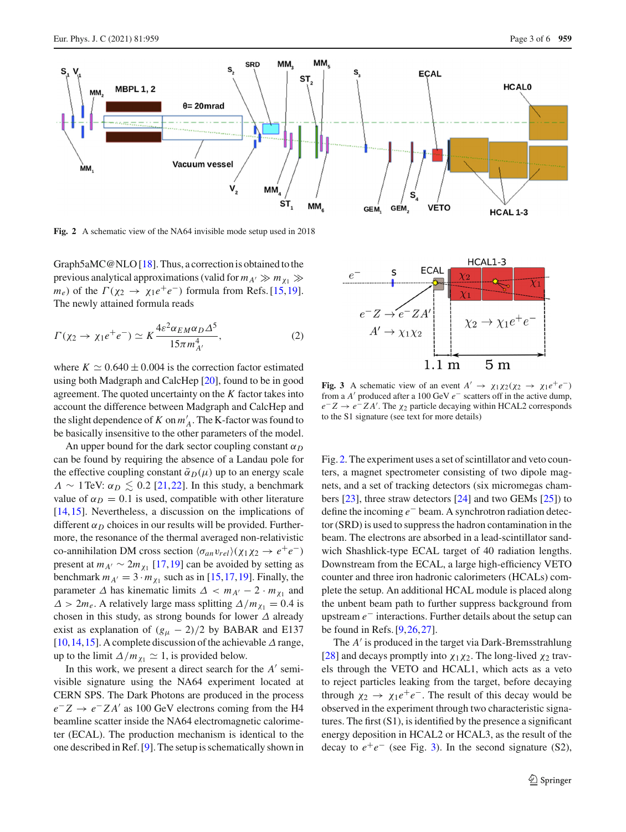

<span id="page-2-0"></span>**Fig. 2** A schematic view of the NA64 invisible mode setup used in 2018

Graph5aMC@NLO [\[18](#page-5-16)]. Thus, a correction is obtained to the previous analytical approximations (valid for  $m_{A'} \gg m_{\chi_1} \gg$ *m<sub>e</sub>*) of the  $\Gamma(\chi_2 \to \chi_1 e^+ e^-)$  formula from Refs. [\[15](#page-5-13)[,19](#page-5-17)]. The newly attained formula reads

$$
\Gamma(\chi_2 \to \chi_1 e^+ e^-) \simeq K \frac{4\varepsilon^2 \alpha_{EM} \alpha_D \Delta^5}{15\pi m_{A'}^4},\tag{2}
$$

where  $K \simeq 0.640 \pm 0.004$  is the correction factor estimated using both Madgraph and CalcHep [\[20\]](#page-5-18), found to be in good agreement. The quoted uncertainty on the *K* factor takes into account the difference between Madgraph and CalcHep and the slight dependence of *K* on  $m'_{A}$ . The K-factor was found to be basically insensitive to the other parameters of the model.

An upper bound for the dark sector coupling constant  $\alpha_D$ can be found by requiring the absence of a Landau pole for the effective coupling constant  $\bar{\alpha}_D(\mu)$  up to an energy scale  $\Lambda \sim 1$  TeV:  $\alpha_D \lesssim 0.2$  [\[21](#page-5-19)[,22](#page-5-20)]. In this study, a benchmark value of  $\alpha_D = 0.1$  is used, compatible with other literature [\[14](#page-5-12),[15\]](#page-5-13). Nevertheless, a discussion on the implications of different  $\alpha_D$  choices in our results will be provided. Furthermore, the resonance of the thermal averaged non-relativistic co-annihilation DM cross section  $\langle \sigma_{an} v_{rel} \rangle (\chi_1 \chi_2 \to e^+ e^-)$ present at  $m_{A'} \sim 2m_{\chi_1}$  [\[17](#page-5-15),[19\]](#page-5-17) can be avoided by setting as benchmark  $m_{A'} = 3 \cdot m_{\chi_1}$  such as in [\[15](#page-5-13),[17](#page-5-15),[19\]](#page-5-17). Finally, the parameter  $\Delta$  has kinematic limits  $\Delta < m_{A'} - 2 \cdot m_{\chi_1}$  and  $\Delta > 2m_e$ . A relatively large mass splitting  $\Delta/m_{\chi_1} = 0.4$  is chosen in this study, as strong bounds for lower  $\Delta$  already exist as explanation of  $(g<sub>μ</sub> - 2)/2$  by BABAR and E137 [\[10](#page-5-21),[14,](#page-5-12)[15\]](#page-5-13). A complete discussion of the achievable  $\Delta$  range, up to the limit  $\Delta/m_{\chi_1} \simeq 1$ , is provided below.

In this work, we present a direct search for the *A*<sup> $\prime$ </sup> semivisible signature using the NA64 experiment located at CERN SPS. The Dark Photons are produced in the process *e*<sup>−</sup> *Z* → *e*<sup>−</sup> *Z A*- as 100 GeV electrons coming from the H4 beamline scatter inside the NA64 electromagnetic calorimeter (ECAL). The production mechanism is identical to the one described in Ref. [\[9](#page-5-8)]. The setup is schematically shown in



<span id="page-2-1"></span>**Fig. 3** A schematic view of an event  $A' \rightarrow \chi_1 \chi_2 (\chi_2 \rightarrow \chi_1 e^+ e^-)$ from a *A*- produced after a 100 GeV *e*− scatters off in the active dump, *e*<sup>−</sup> *Z* → *e*<sup>−</sup> *Z A*- . The χ<sup>2</sup> particle decaying within HCAL2 corresponds to the S1 signature (see text for more details)

Fig. [2.](#page-2-0) The experiment uses a set of scintillator and veto counters, a magnet spectrometer consisting of two dipole magnets, and a set of tracking detectors (six micromegas chambers [\[23\]](#page-5-22), three straw detectors [\[24](#page-5-23)] and two GEMs [\[25](#page-5-24)]) to define the incoming *e*− beam. A synchrotron radiation detector (SRD) is used to suppress the hadron contamination in the beam. The electrons are absorbed in a lead-scintillator sandwich Shashlick-type ECAL target of 40 radiation lengths. Downstream from the ECAL, a large high-efficiency VETO counter and three iron hadronic calorimeters (HCALs) complete the setup. An additional HCAL module is placed along the unbent beam path to further suppress background from upstream *e*− interactions. Further details about the setup can be found in Refs. [\[9](#page-5-8),[26,](#page-5-25)[27\]](#page-5-26).

The *A'* is produced in the target via Dark-Bremsstrahlung [\[28](#page-5-27)] and decays promptly into  $\chi_1 \chi_2$ . The long-lived  $\chi_2$  travels through the VETO and HCAL1, which acts as a veto to reject particles leaking from the target, before decaying through  $\chi_2 \rightarrow \chi_1 e^+ e^-$ . The result of this decay would be observed in the experiment through two characteristic signatures. The first (S1), is identified by the presence a significant energy deposition in HCAL2 or HCAL3, as the result of the decay to  $e^+e^-$  (see Fig. [3\)](#page-2-1). In the second signature (S2),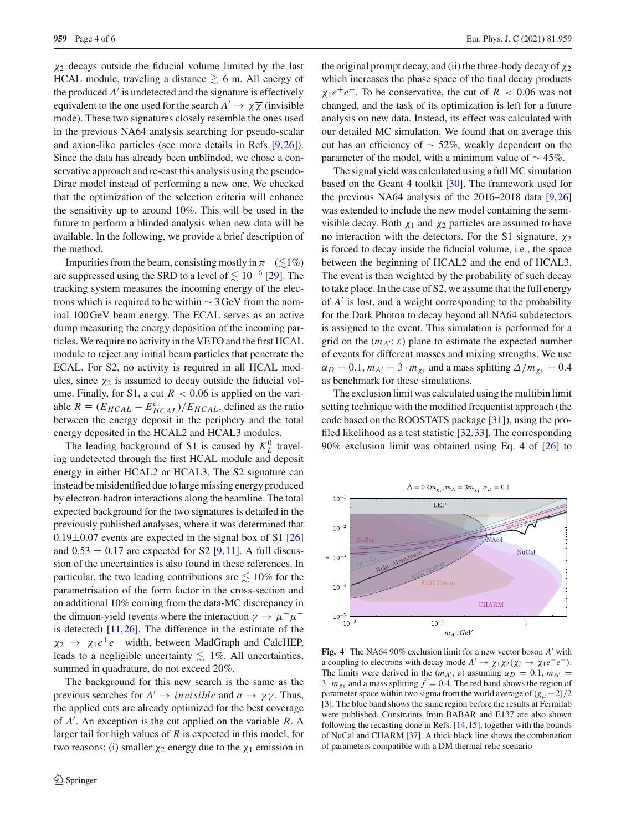$\chi_2$  decays outside the fiducial volume limited by the last HCAL module, traveling a distance  $\geq 6$  m. All energy of the produced  $A'$  is undetected and the signature is effectively equivalent to the one used for the search  $A' \to \chi \overline{\chi}$  (invisible mode). These two signatures closely resemble the ones used in the previous NA64 analysis searching for pseudo-scalar and axion-like particles (see more details in Refs. [\[9](#page-5-8)[,26](#page-5-25)]). Since the data has already been unblinded, we chose a conservative approach and re-cast this analysis using the pseudo-Dirac model instead of performing a new one. We checked that the optimization of the selection criteria will enhance the sensitivity up to around 10%. This will be used in the future to perform a blinded analysis when new data will be available. In the following, we provide a brief description of the method.

Impurities from the beam, consisting mostly in  $\pi^{-}(\lesssim\hspace{-0.1cm}\log\hspace{-0.1cm}1\%)$ are suppressed using the SRD to a level of  $\lesssim 10^{-6}$  [\[29\]](#page-5-28). The tracking system measures the incoming energy of the electrons which is required to be within  $\sim$  3 GeV from the nominal 100 GeV beam energy. The ECAL serves as an active dump measuring the energy deposition of the incoming particles. We require no activity in the VETO and the first HCAL module to reject any initial beam particles that penetrate the ECAL. For S2, no activity is required in all HCAL modules, since  $\chi_2$  is assumed to decay outside the fiducial volume. Finally, for S1, a cut  $R < 0.06$  is applied on the variable  $R \equiv (E_{HCAL} - E_{HCAL}^c)/E_{HCAL}$ , defined as the ratio between the energy deposit in the periphery and the total energy deposited in the HCAL2 and HCAL3 modules.

The leading background of S1 is caused by  $K_L^0$  traveling undetected through the first HCAL module and deposit energy in either HCAL2 or HCAL3. The S2 signature can instead be misidentified due to large missing energy produced by electron-hadron interactions along the beamline. The total expected background for the two signatures is detailed in the previously published analyses, where it was determined that  $0.19\pm0.07$  events are expected in the signal box of S1 [\[26\]](#page-5-25) and  $0.53 \pm 0.17$  are expected for S2 [\[9](#page-5-8),[11\]](#page-5-9). A full discussion of the uncertainties is also found in these references. In particular, the two leading contributions are  $\lesssim 10\%$  for the parametrisation of the form factor in the cross-section and an additional 10% coming from the data-MC discrepancy in the dimuon-yield (events where the interaction  $\gamma \to \mu^+ \mu^$ is detected)  $[11,26]$  $[11,26]$  $[11,26]$ . The difference in the estimate of the  $\chi_2 \rightarrow \chi_1 e^+e^-$  width, between MadGraph and CalcHEP, leads to a negligible uncertainty  $\lesssim$  1%. All uncertainties, summed in quadrature, do not exceed 20%.

The background for this new search is the same as the previous searches for  $A' \to invisible$  and  $a \to \gamma \gamma$ . Thus, the applied cuts are already optimized for the best coverage of *A*- . An exception is the cut applied on the variable *R*. A larger tail for high values of *R* is expected in this model, for two reasons: (i) smaller  $\chi_2$  energy due to the  $\chi_1$  emission in

the original prompt decay, and (ii) the three-body decay of  $\chi_2$ which increases the phase space of the final decay products  $\chi_1 e^+e^-$ . To be conservative, the cut of *R* < 0.06 was not changed, and the task of its optimization is left for a future analysis on new data. Instead, its effect was calculated with our detailed MC simulation. We found that on average this cut has an efficiency of ∼ 52%, weakly dependent on the parameter of the model, with a minimum value of  $\sim$  45%.

The signal yield was calculated using a full MC simulation based on the Geant 4 toolkit [\[30](#page-5-29)]. The framework used for the previous NA64 analysis of the 2016–2018 data [\[9,](#page-5-8)[26\]](#page-5-25) was extended to include the new model containing the semivisible decay. Both  $\chi_1$  and  $\chi_2$  particles are assumed to have no interaction with the detectors. For the S1 signature,  $\chi_2$ is forced to decay inside the fiducial volume, i.e., the space between the beginning of HCAL2 and the end of HCAL3. The event is then weighted by the probability of such decay to take place. In the case of S2, we assume that the full energy of *A*- is lost, and a weight corresponding to the probability for the Dark Photon to decay beyond all NA64 subdetectors is assigned to the event. This simulation is performed for a grid on the  $(m_{A'}; \varepsilon)$  plane to estimate the expected number of events for different masses and mixing strengths. We use  $\alpha_D = 0.1$ ,  $m_{A'} = 3 \cdot m_{\chi_1}$  and a mass splitting  $\Delta/m_{\chi_1} = 0.4$ as benchmark for these simulations.

The exclusion limit was calculated using the multibin limit setting technique with the modified frequentist approach (the code based on the ROOSTATS package [\[31](#page-5-30)]), using the profiled likelihood as a test statistic [\[32](#page-5-31)[,33](#page-5-32)]. The corresponding 90% exclusion limit was obtained using Eq. 4 of [\[26](#page-5-25)] to



<span id="page-3-0"></span>**Fig. 4** The NA64 90% exclusion limit for a new vector boson A' with a coupling to electrons with decay mode  $A' \rightarrow \chi_1 \chi_2 (\chi_2 \rightarrow \chi_1 e^+ e^-)$ . The limits were derived in the  $(m_{A'}, \varepsilon)$  assuming  $\alpha_D = 0.1$ ,  $m_{A'} =$  $3 \cdot m_{\chi_1}$  and a mass splitting  $\bar{f} = 0.4$ . The red band shows the region of parameter space within two sigma from the world average of  $(g<sub>μ</sub>−2)/2$ [\[3](#page-5-2)]. The blue band shows the same region before the results at Fermilab were published. Constraints from BABAR and E137 are also shown following the recasting done in Refs. [\[14](#page-5-12)[,15](#page-5-13)], together with the bounds of NuCal and CHARM [\[37\]](#page-5-33). A thick black line shows the combination of parameters compatible with a DM thermal relic scenario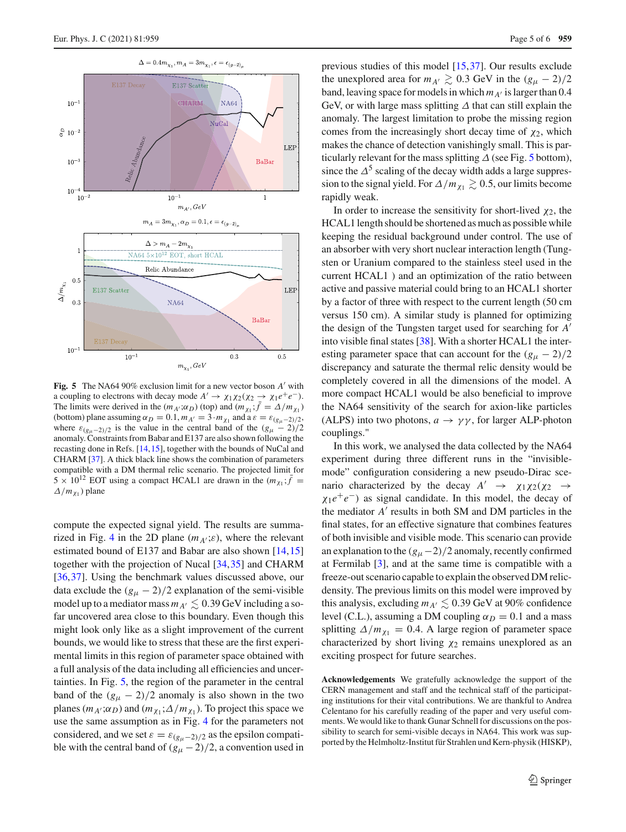

<span id="page-4-0"></span>**Fig. 5** The NA64 90% exclusion limit for a new vector boson A' with a coupling to electrons with decay mode  $A' \to \chi_1 \chi_2 (\chi_2 \to \chi_1 e^+ e^-)$ . The limits were derived in the  $(m_{A'}, \alpha_D)$  (top) and  $(m_{\chi_1}; f = \Delta/m_{\chi_1})$ (bottom) plane assuming  $\alpha_D = 0.1$ ,  $m_{A'} = 3 \cdot m_{\chi_1}$  and a  $\varepsilon = \varepsilon_{(g_\mu - 2)/2}$ , where  $\varepsilon_{(g_\mu-2)/2}$  is the value in the central band of the  $(g_\mu-2)/2$ anomaly. Constraints from Babar and E137 are also shown following the recasting done in Refs. [\[14](#page-5-12)[,15](#page-5-13)], together with the bounds of NuCal and CHARM [\[37](#page-5-33)]. A thick black line shows the combination of parameters compatible with a DM thermal relic scenario. The projected limit for  $5 \times 10^{12}$  EOT using a compact HCAL1 are drawn in the  $(m_{\chi_1}; \bar{f})$  $\Delta/m_{\chi_1}$ ) plane

compute the expected signal yield. The results are summa-rized in Fig. [4](#page-3-0) in the 2D plane  $(m_{A}$ <sub>'</sub>; $\varepsilon)$ , where the relevant estimated bound of E137 and Babar are also shown [\[14,](#page-5-12)[15\]](#page-5-13) together with the projection of Nucal [\[34](#page-5-34)[,35](#page-5-35)] and CHARM [\[36](#page-5-36),[37\]](#page-5-33). Using the benchmark values discussed above, our data exclude the  $(g<sub>μ</sub> - 2)/2$  explanation of the semi-visible model up to a mediator mass  $m_{A'} \lesssim 0.39$  GeV including a sofar uncovered area close to this boundary. Even though this might look only like as a slight improvement of the current bounds, we would like to stress that these are the first experimental limits in this region of parameter space obtained with a full analysis of the data including all efficiencies and uncertainties. In Fig. [5,](#page-4-0) the region of the parameter in the central band of the  $(g_{\mu} - 2)/2$  anomaly is also shown in the two planes ( $m_{A}$ '; $\alpha_D$ ) and ( $m_{\chi_1}$ ; $\Delta/m_{\chi_1}$ ). To project this space we use the same assumption as in Fig. [4](#page-3-0) for the parameters not considered, and we set  $\varepsilon = \varepsilon_{(g_\mu-2)/2}$  as the epsilon compatible with the central band of  $(g_\mu - 2)/2$ , a convention used in

previous studies of this model [\[15](#page-5-13)[,37](#page-5-33)]. Our results exclude the unexplored area for  $m_{A'} \gtrsim 0.3$  GeV in the  $(g_{\mu} - 2)/2$ band, leaving space for models in which  $m_{A'}$  is larger than 0.4 GeV, or with large mass splitting  $\Delta$  that can still explain the anomaly. The largest limitation to probe the missing region comes from the increasingly short decay time of  $\chi_2$ , which makes the chance of detection vanishingly small. This is particularly relevant for the mass splitting  $\Delta$  (see Fig. [5](#page-4-0) bottom), since the  $\Delta^5$  scaling of the decay width adds a large suppression to the signal yield. For  $\Delta/m_{\chi_1} \gtrsim 0.5$ , our limits become rapidly weak.

In order to increase the sensitivity for short-lived  $\chi_2$ , the HCAL1 length should be shortened as much as possible while keeping the residual background under control. The use of an absorber with very short nuclear interaction length (Tungsten or Uranium compared to the stainless steel used in the current HCAL1 ) and an optimization of the ratio between active and passive material could bring to an HCAL1 shorter by a factor of three with respect to the current length (50 cm versus 150 cm). A similar study is planned for optimizing the design of the Tungsten target used for searching for *A* into visible final states [\[38](#page-5-37)]. With a shorter HCAL1 the interesting parameter space that can account for the  $(g<sub>μ</sub> - 2)/2$ discrepancy and saturate the thermal relic density would be completely covered in all the dimensions of the model. A more compact HCAL1 would be also beneficial to improve the NA64 sensitivity of the search for axion-like particles (ALPS) into two photons,  $a \rightarrow \gamma \gamma$ , for larger ALP-photon couplings."

In this work, we analysed the data collected by the NA64 experiment during three different runs in the "invisiblemode" configuration considering a new pseudo-Dirac scenario characterized by the decay  $A' \rightarrow \chi_1 \chi_2 (\chi_2 \rightarrow$  $\chi_1 e^+e^-$ ) as signal candidate. In this model, the decay of the mediator  $A'$  results in both SM and DM particles in the final states, for an effective signature that combines features of both invisible and visible mode. This scenario can provide an explanation to the  $(g<sub>μ</sub> - 2)/2$  anomaly, recently confirmed at Fermilab [\[3](#page-5-2)], and at the same time is compatible with a freeze-out scenario capable to explain the observed DM relicdensity. The previous limits on this model were improved by this analysis, excluding  $m_{A'} \lesssim 0.39$  GeV at 90% confidence level (C.L.), assuming a DM coupling  $\alpha_D = 0.1$  and a mass splitting  $\Delta/m_{\chi_1} = 0.4$ . A large region of parameter space characterized by short living  $\chi_2$  remains unexplored as an exciting prospect for future searches.

**Acknowledgements** We gratefully acknowledge the support of the CERN management and staff and the technical staff of the participating institutions for their vital contributions. We are thankful to Andrea Celentano for his carefully reading of the paper and very useful comments. We would like to thank Gunar Schnell for discussions on the possibility to search for semi-visible decays in NA64. This work was supported by the Helmholtz-Institut für Strahlen und Kern-physik (HISKP),